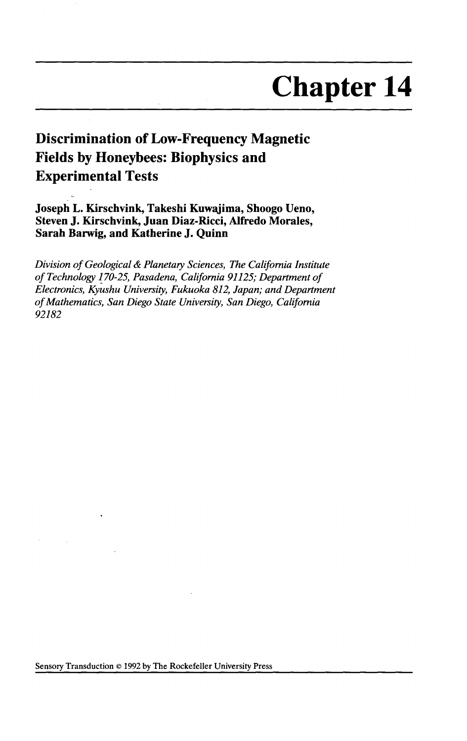# **Chapter 14**

# **Discrimination of Low-Frequency Magnetic Fields by Honeybees: Biophysics and Experimental Tests**

**Joseph L. Kirschvink, Takeshi Kuwajima, Shoogo Ueno, Steven J. Kirschvink, Juan Diaz-Ricci, Alfredo Morales, Sarah Barwig, and Katherine J. Quinn** 

*Division of Geological* & *Planetary Sciences, The California Institute of Technology 170-25, Pasadena, California 91125; Department of Electronics, Kyushu University, Fukuoka 812, Japan; and Department of Mathematics, San Diego State University, San Diego, California 92182*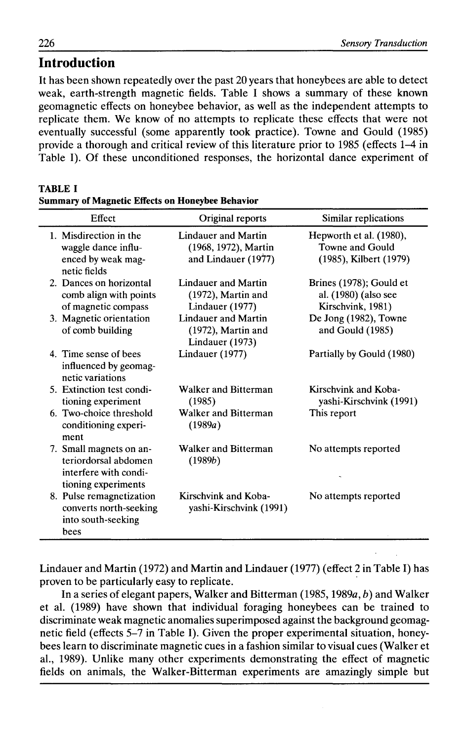## **Introduction**

It has been shown repeatedly over the past 20 years that honeybees are able to detect weak, earth-strength magnetic fields. Table I shows a summary of these known geomagnetic effects on honeybee behavior, as well as the independent attempts to replicate them. We know of no attempts to replicate these effects that were not eventually successful (some apparently took practice). Towne and Gould (1985) provide a thorough and critical review of this literature prior to 1985 (effects 1-4 in Table I). Of these unconditioned responses, the horizontal dance experiment of

| Effect                                                                                          | Original reports                                                          | Similar replications                                                 |
|-------------------------------------------------------------------------------------------------|---------------------------------------------------------------------------|----------------------------------------------------------------------|
| 1. Misdirection in the<br>waggle dance influ-<br>enced by weak mag-<br>netic fields             | <b>Lindauer and Martin</b><br>(1968, 1972), Martin<br>and Lindauer (1977) | Hepworth et al. (1980),<br>Towne and Gould<br>(1985), Kilbert (1979) |
| 2. Dances on horizontal<br>comb align with points<br>of magnetic compass                        | <b>Lindauer and Martin</b><br>$(1972)$ , Martin and<br>Lindauer (1977)    | Brines (1978); Gould et<br>al. (1980) (also see<br>Kirschvink, 1981) |
| 3. Magnetic orientation<br>of comb building                                                     | <b>Lindauer and Martin</b><br>$(1972)$ , Martin and<br>Lindauer (1973)    | De Jong (1982), Towne<br>and Gould (1985)                            |
| 4. Time sense of bees<br>influenced by geomag-<br>netic variations                              | Lindauer (1977)                                                           | Partially by Gould (1980)                                            |
| 5. Extinction test condi-<br>tioning experiment                                                 | Walker and Bitterman<br>(1985)                                            | Kirschvink and Koba-<br>yashi-Kirschvink (1991)                      |
| 6. Two-choice threshold<br>conditioning experi-<br>ment                                         | Walker and Bitterman<br>(1989a)                                           | This report                                                          |
| 7. Small magnets on an-<br>teriordorsal abdomen<br>interfere with condi-<br>tioning experiments | Walker and Bitterman<br>(1989b)                                           | No attempts reported                                                 |
| 8. Pulse remagnetization<br>converts north-seeking<br>into south-seeking<br>bees                | Kirschvink and Koba-<br>yashi-Kirschvink (1991)                           | No attempts reported                                                 |

#### TABLE I Summary of Magnetic Effects on Honeybee Behavior

Lindauer and Martin (1972) and Martin and Lindauer (1977) (effect 2 in Table I) has proven to be particularly easy to replicate.

In a series of elegant papers, Walker and Bitterman (1985, 1989a, b) and Walker et al. (1989) have shown that individual foraging honeybees can be trained to discriminate weak magnetic anomalies superimposed against the background geomagnetic field (effects 5-7 in Table I). Given the proper experimental situation, honeybees learn to discriminate magnetic cues in a fashion similar to visual cues (Walker et al., 1989). Unlike many other experiments demonstrating the effect of magnetic fields on animals, the Walker-Bitterman experiments are amazingly simple but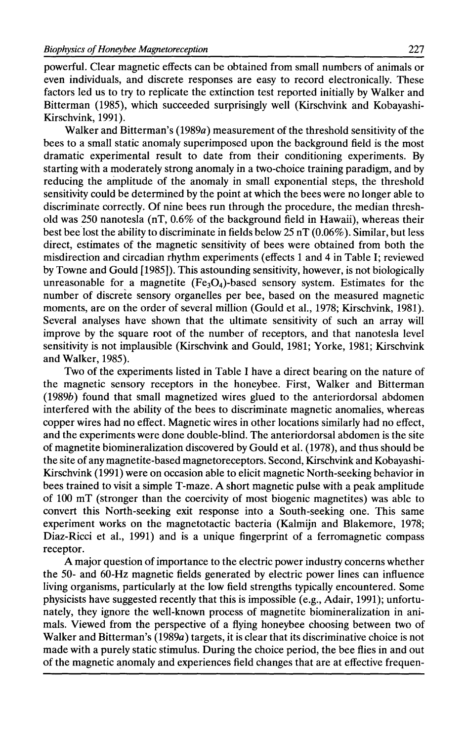powerful. Clear magnetic effects can be obtained from small numbers of animals or even individuals, and discrete responses are easy to record electronically. These factors led us to try to replicate the extinction test reported initially by Walker and Bitterman (1985), which succeeded surprisingly well (Kirschvink and Kobayashi-Kirschvink, 1991).

Walker and Bitterman's (1989a) measurement of the threshold sensitivity of the bees to a small static anomaly superimposed upon the background field is the most dramatic experimental result to date from their conditioning experiments. By starting with a moderately strong anomaly in a two-choice training paradigm, and by reducing the amplitude of the anomaly in small exponential steps, the threshold sensitivity could be determined by the point at which the bees were no longer able to discriminate correctly. Of nine bees run through the procedure, the median threshold was 250 nanotesla (nT,  $0.6\%$  of the background field in Hawaii), whereas their best bee lost the ability to discriminate in fields below 25 nT (0.06% ). Similar, but less direct, estimates of the magnetic sensitivity of bees were obtained from both the misdirection and circadian rhythm experiments (effects 1 and 4 in Table I; reviewed by Towne and Gould [1985]). This astounding sensitivity, however, is not biologically unreasonable for a magnetite  $(Fe<sub>3</sub>O<sub>4</sub>)$ -based sensory system. Estimates for the number of discrete sensory organelles per bee, based on the measured magnetic moments, are on the order of several million (Gould et al., 1978; Kirschvink, 1981). Several analyses have shown that the ultimate sensitivity of such an array will improve by the square root of the number of receptors, and that nanotesla level sensitivity is not implausible (Kirschvink and Gould, 1981; Yorke, 1981; Kirschvink and Walker, 1985).

Two of the experiments listed in Table I have a direct bearing on the nature of the magnetic sensory receptors in the honeybee. First, Walker and Bitterman (1989b) found that small magnetized wires glued to the anteriordorsal abdomen interfered with the ability of the bees to discriminate magnetic anomalies, whereas copper wires had no effect. Magnetic wires in other locations similarly had no effect, and the experiments were done double-blind. The anteriordorsal abdomen is the site of magnetite biomineralization discovered by Gould et al. (1978), and thus should be the site of any magnetite-based magnetoreceptors. Second, Kirschvink and Kobayashi-Kirschvink (1991) were on occasion able to elicit magnetic North-seeking behavior in bees trained to visit a simple T-maze. A short magnetic pulse with a peak amplitude of 100 mT (stronger than the coercivity of most biogenic magnetites) was able to convert this North-seeking exit response into a South-seeking one. This same experiment works on the magnetotactic bacteria (Kalmijn and Blakemore, 1978; Diaz-Ricci et al., 1991) and is a unique fingerprint of a ferromagnetic compass receptor.

A major question of importance to the electric power industry concerns whether the 50- and 60-Hz magnetic fields generated by electric power lines can influence living organisms, particularly at the low field strengths typically encountered. Some physicists have suggested recently that this is impossible (e.g., Adair, 1991); unfortunately, they ignore the well-known process of magnetite biomineralization in animals. Viewed from the perspective of a flying honeybee choosing between two of Walker and Bitterman's (1989a) targets, it is clear that its discriminative choice is not made with a purely static stimulus. During the choice period, the bee flies in and out of the magnetic anomaly and experiences field changes that are at effective frequen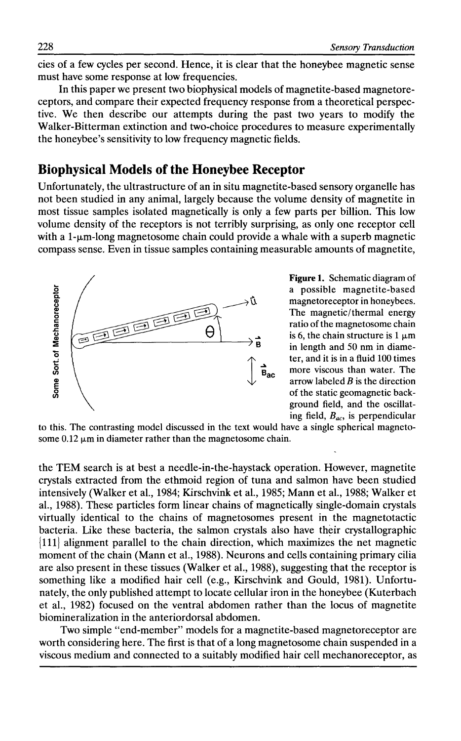cies of a few cycles per second. Hence, it is clear that the honeybee magnetic sense must have some response at low frequencies.

In this paper we present two biophysical models of magnetite-based magnetoreceptors, and compare their expected frequency response from a theoretical perspective. We then describe our attempts during the past two years to modify the Walker-Bitterman extinction and two-choice procedures to measure experimentally the honeybee's sensitivity to low frequency magnetic fields.

#### **Biophysical Models of the Honeybee Receptor**

Unfortunately, the ultrastructure of an in situ magnetite-based sensory organelle has not been studied in any animal, largely because the volume density of magnetite in most tissue samples isolated magnetically is only a few parts per billion. This low volume density of the receptors is not terribly surprising, as only one receptor cell with a  $1-\mu m$ -long magnetosome chain could provide a whale with a superb magnetic compass sense. Even in tissue samples containing measurable amounts of magnetite,



**Figure 1.** Schematic diagram of a possible magnetite-based magnetoreceptor in honeybees. The magnetic/thermal energy ratio of the magnetosome chain is 6, the chain structure is 1  $\mu$ m in length and 50 nm in diameter, and it is in a fluid 100 times more viscous than water. The arrow labeled  $B$  is the direction of the static geomagnetic background field, and the oscillating field, *Bac•* is perpendicular

to this. The contrasting model discussed in the text would have a single spherical magnetosome  $0.12 \mu m$  in diameter rather than the magnetosome chain.

the TEM search is at best a needle-in-the-haystack operation. However, magnetite crystals extracted from the ethmoid region of tuna and salmon have been studied intensively (Walker et al., 1984; Kirschvink et al., 1985; Mann et al., 1988; Walker et al., 1988). These particles form linear chains of magnetically single-domain crystals virtually identical to the chains of magnetosomes present in the magnetotactic bacteria. Like these bacteria, the salmon crystals also have their crystallographic { 111) alignment parallel to the chain direction, which maximizes the net magnetic moment of the chain (Mann et al., 1988). Neurons and cells containing primary cilia are also present in these tissues (Walker et al., 1988), suggesting that the receptor is something like a modified hair cell (e.g., Kirschvink and Gould, 1981). Unfortunately, the only published attempt to locate cellular iron in the honeybee (Kuterbach et al., 1982) focused on the ventral abdomen rather than the locus of magnetite biomineralization in the anteriordorsal abdomen.

Two simple "end-member" models for a magnetite-based magnetoreceptor are worth considering here. The first is that of a long magnetosome chain suspended in a viscous medium and connected to a suitably modified hair cell mechanoreceptor, as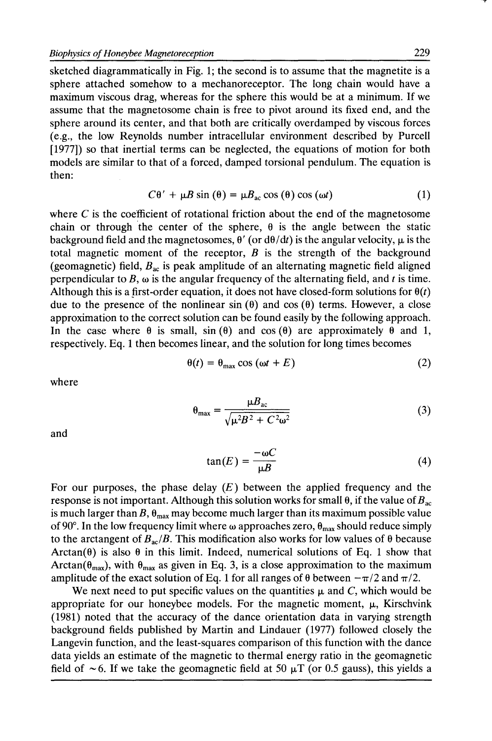sketched diagrammatically in Fig. 1; the second is to assume that the magnetite is a sphere attached somehow to a mechanoreceptor. The long chain would have a maximum viscous drag, whereas for the sphere this would be at a minimum. If we assume that the magnetosome chain is free to pivot around its fixed end, and the sphere around its center, and that both are critically overdamped by viscous forces (e.g., the low Reynolds number intracellular environment described by Purcell [1977]) so that inertial terms can be neglected, the equations of motion for both models are similar to that of a forced, damped torsional pendulum. The equation is then:

$$
C\theta' + \mu B \sin(\theta) = \mu B_{ac} \cos(\theta) \cos(\omega t)
$$
 (1)

where *C* is the coefficient of rotational friction about the end of the magnetosome chain or through the center of the sphere,  $\theta$  is the angle between the static background field and the magnetosomes,  $\theta'$  (or  $d\theta/dt$ ) is the angular velocity,  $\mu$  is the total magnetic moment of the receptor, *B* is the strength of the background (geomagnetic) field,  $B_{ac}$  is peak amplitude of an alternating magnetic field aligned perpendicular to B,  $\omega$  is the angular frequency of the alternating field, and *t* is time. Although this is a first-order equation, it does not have closed-form solutions for  $\theta(t)$ due to the presence of the nonlinear sin  $(\theta)$  and cos  $(\theta)$  terms. However, a close approximation to the correct solution can be found easily by the following approach. In the case where  $\theta$  is small,  $\sin(\theta)$  and  $\cos(\theta)$  are approximately  $\theta$  and 1, respectively. Eq. 1 then becomes linear, and the solution for long times becomes

$$
\theta(t) = \theta_{\text{max}} \cos(\omega t + E) \tag{2}
$$

where

$$
\theta_{\text{max}} = \frac{\mu B_{\text{ac}}}{\sqrt{\mu^2 B^2 + C^2 \omega^2}}
$$
(3)

and

$$
\tan(E) = \frac{-\omega C}{\mu B} \tag{4}
$$

For our purposes, the phase delay  $(E)$  between the applied frequency and the response is not important. Although this solution works for small  $\theta$ , if the value of  $B_{ac}$ is much larger than B,  $\theta_{\text{max}}$  may become much larger than its maximum possible value of 90°. In the low frequency limit where  $\omega$  approaches zero,  $\theta_{\text{max}}$  should reduce simply to the arctangent of  $B_{ac}/B$ . This modification also works for low values of  $\theta$  because Arctan( $\theta$ ) is also  $\theta$  in this limit. Indeed, numerical solutions of Eq. 1 show that Arctan( $\theta_{\text{max}}$ ), with  $\theta_{\text{max}}$  as given in Eq. 3, is a close approximation to the maximum amplitude of the exact solution of Eq. 1 for all ranges of  $\theta$  between  $-\pi/2$  and  $\pi/2$ .

We next need to put specific values on the quantities  $\mu$  and C, which would be appropriate for our honeybee models. For the magnetic moment,  $\mu$ , Kirschvink (1981) noted that the accuracy of the dance orientation data in varying strength background fields published by Martin and Lindauer (1977) followed closely the Langevin function, and the least-squares comparison of this function with the dance data yields an estimate of the magnetic to thermal energy ratio in the geomagnetic field of  $\sim$  6. If we take the geomagnetic field at 50  $\mu$ T (or 0.5 gauss), this yields a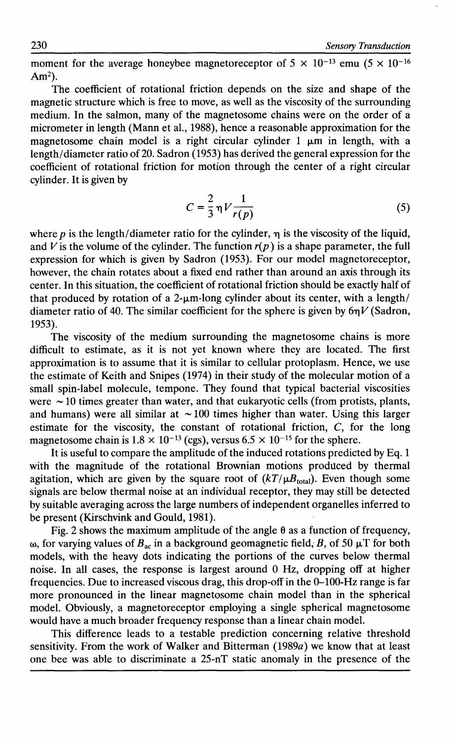230 *Sensory Transduction* 

moment for the average honeybee magnetoreceptor of  $5 \times 10^{-13}$  emu  $(5 \times 10^{-16})$  $Am<sup>2</sup>$ ).

The coefficient of rotational friction depends on the size and shape of the magnetic structure which is free to move, as well as the viscosity of the surrounding medium. In the salmon, many of the magnetosome chains were on the order of a micrometer in length (Mann et al., 1988), hence a reasonable approximation for the magnetosome chain model is a right circular cylinder 1  $\mu$ m in length, with a length/ diameter ratio of 20. Sadron (1953) has derived the general expression for the coefficient of rotational friction for motion through the center of a right circular cylinder. It is given by

$$
C = \frac{2}{3} \eta V \frac{1}{r(p)} \tag{5}
$$

where p is the length/diameter ratio for the cylinder,  $\eta$  is the viscosity of the liquid, and V is the volume of the cylinder. The function  $r(p)$  is a shape parameter, the full expression for which is given by Sadron (1953). For our model magnetoreceptor, however, the chain rotates about a fixed end rather than around an axis through its center. In this situation, the coefficient of rotational friction should be exactly half of that produced by rotation of a 2- $\mu$ m-long cylinder about its center, with a length/ diameter ratio of 40. The similar coefficient for the sphere is given by  $6nV$  (Sadron, 1953).

The viscosity of the medium surrounding the magnetosome chains is more difficult to estimate, as it is not yet known where they are located. The first approximation is to assume that it is similar to cellular protoplasm. Hence, we use the estimate of Keith and Snipes (1974) in their study of the molecular motion of a small spin-label molecule, tempone. They found that typical bacterial viscosities were  $\sim$  10 times greater than water, and that eukaryotic cells (from protists, plants, and humans) were all similar at  $\sim$  100 times higher than water. Using this larger estimate for the viscosity, the constant of rotational friction, C, for the long magnetosome chain is  $1.8 \times 10^{-13}$  (cgs), versus  $6.5 \times 10^{-15}$  for the sphere.

It is useful to compare the amplitude of the induced rotations predicted by Eq. 1 with the magnitude of the rotational Brownian motions produced by thermal agitation, which are given by the square root of  $(kT/\mu B_{\text{total}})$ . Even though some signals are below thermal noise at an individual receptor, they may still be detected by suitable averaging across the large numbers of independent organelles inferred to be present (Kirschvink and Gould, 1981).

Fig. 2 shows the maximum amplitude of the angle  $\theta$  as a function of frequency,  $\omega$ , for varying values of  $B_{ac}$  in a background geomagnetic field, B, of 50  $\mu$ T for both models, with the heavy dots indicating the portions of the curves below thermal noise. In all cases, the response is largest around 0 Hz, dropping off at higher frequencies. Due to increased viscous drag, this drop-off in the 0-100-Hz range is far more pronounced in the linear magnetosome chain model than in the spherical model. Obviously, a magnetoreceptor employing a single spherical magnetosome would have a much broader frequency response than a linear chain model.

This difference leads to a testable prediction concerning relative threshold sensitivity. From the work of Walker and Bitterman (1989a) we know that at least one bee was able to discriminate a 25-nT static anomaly in the presence of the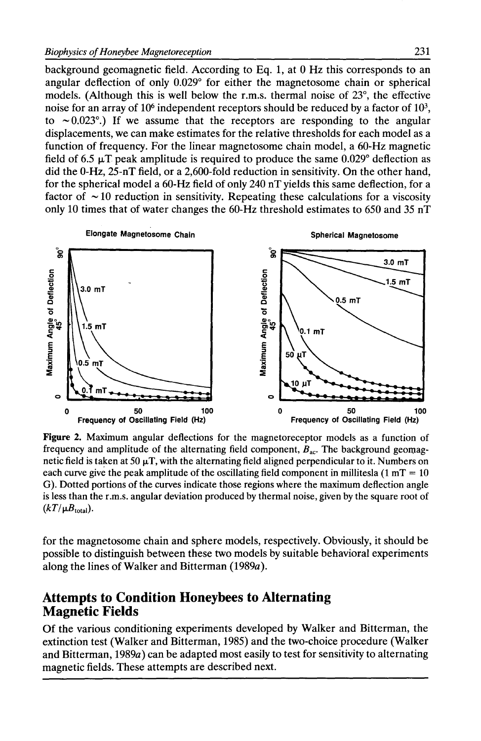background geomagnetic field. According to Eq. 1, at 0 Hz this corresponds to an angular deflection of only 0.029° for either the magnetosome chain or spherical models. (Although this is well below the r.m.s. thermal noise of 23°, the effective noise for an array of  $10<sup>6</sup>$  independent receptors should be reduced by a factor of  $10<sup>3</sup>$ , to  $\sim 0.023$ °.) If we assume that the receptors are responding to the angular displacements, we can make estimates for the relative thresholds for each model as a function of frequency. For the linear magnetosome chain model, a 60-Hz magnetic field of 6.5  $\mu$ T peak amplitude is required to produce the same 0.029° deflection as did the 0-Hz, 25-nT field, or a 2,600-fold reduction in sensitivity. On the other hand, for the spherical model a 60-Hz field of only 240 nT yields this same deflection, for a factor of  $\sim$  10 reduction in sensitivity. Repeating these calculations for a viscosity only 10 times that of water changes the 60-Hz threshold estimates to 650 and 35 nT



Figure 2. Maximum angular deflections for the magnetoreceptor models as a function of frequency and amplitude of the alternating field component,  $B_{ac}$ . The background geomagnetic field is taken at 50  $\mu$ T, with the alternating field aligned perpendicular to it. Numbers on each curve give the peak amplitude of the oscillating field component in millitesla  $(1 mT = 10)$ G). Dotted portions of the curves indicate those regions where the maximum deflection angle is less than the r.m.s. angular deviation produced by thermal noise, given by the square root of  $(kT/\mu B_{\text{total}})$ .

for the magnetosome chain and sphere models, respectively. Obviously, it should be possible to distinguish between these two models by suitable behavioral experiments along the lines of Walker and Bitterman (1989a).

#### **Attempts to Condition Honeybees to Alternating Magnetic Fields**

Of the various conditioning experiments developed by Walker and Bitterman, the extinction test (Walker and Bitterman, 1985) and the two-choice procedure (Walker and Bitterman, 1989a) can be adapted most easily to test for sensitivity to alternating magnetic fields. These attempts are described next.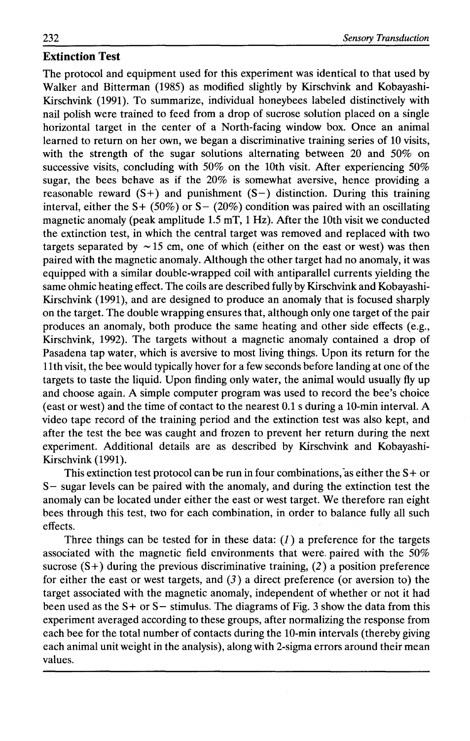#### **Extinction Test**

The protocol and equipment used for this experiment was identical to that used by Walker and Bitterman (1985) as modified slightly by Kirschvink and Kobayashi-Kirschvink (1991). To summarize, individual honeybees labeled distinctively with nail polish were trained to feed from a drop of sucrose solution placed on a single horizontal target in the center of a North-facing window box. Once an animal learned to return on her own, we began a discriminative training series of 10 visits, with the strength of the sugar solutions alternating between 20 and 50% on successive visits, concluding with 50% on the 10th visit. After experiencing 50% sugar, the bees behave as if the 20% is somewhat aversive, hence providing a reasonable reward  $(S+)$  and punishment  $(S-)$  distinction. During this training interval, either the S+ (50%) or S- (20%) condition was paired with an oscillating magnetic anomaly (peak amplitude 1.5 mT, 1Hz). After the 10th visit we conducted the extinction test, in which the central target was removed and replaced with two targets separated by  $\sim$  15 cm, one of which (either on the east or west) was then paired with the magnetic anomaly. Although the other target had no anomaly, it was equipped with a similar double-wrapped coil with antiparallel currents yielding the same ohmic heating effect. The coils are described fully by Kirschvink and Kobayashi-Kirschvink (1991), and are designed to produce an anomaly that is focused sharply on the target. The double wrapping ensures that, although only one target of the pair produces an anomaly, both produce the same heating and other side effects (e.g., Kirschvink, 1992). The targets without a magnetic anomaly contained a drop of Pasadena tap water, which is aversive to most living things. Upon its return for the 11th visit, the bee would typically hover for a few seconds before landing at one of the targets to taste the liquid. Upon finding only water, the animal would usually fly up and choose again. A simple computer program was used to record the bee's choice (east or west) and the time of contact to the nearest 0.1 s during a 10-min interval. A video tape record of the training period and the extinction test was also kept, and after the test the bee was caught and frozen to prevent her return during the next experiment. Additional details are as described by Kirschvink and Kobayashi-Kirschvink (1991).

This extinction test protocol can be run in four combinations, as either the  $S +$  or S- sugar levels can be paired with the anomaly, and during the extinction test the anomaly can be located under either the east or west target. We therefore ran eight bees through this test, two for each combination, in order to balance fully all such effects.

Three things can be tested for in these data:  $(1)$  a preference for the targets associated with the magnetic field environments that were. paired with the 50% sucrose  $(S+)$  during the previous discriminative training, (2) a position preference for either the east or west targets, and  $(3)$  a direct preference (or aversion to) the target associated with the magnetic anomaly, independent of whether or not it had been used as the  $S+$  or  $S-$  stimulus. The diagrams of Fig. 3 show the data from this experiment averaged according to these groups, after normalizing the response from each bee for the total number of contacts during the 10-min intervals (thereby giving each animal unit weight in the analysis), along with 2-sigma errors around their mean values.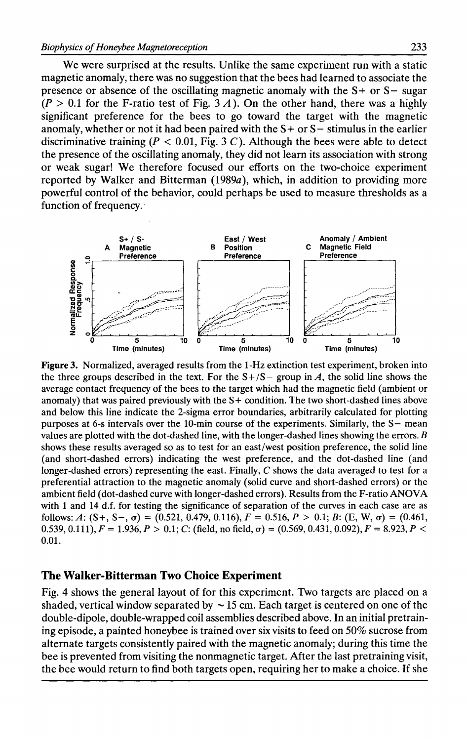We were surprised at the results. Unlike the same experiment run with a static magnetic anomaly, there was no suggestion that the bees had learned to associate the presence or absence of the oscillating magnetic anomaly with the  $S+$  or  $S-$  sugar  $(P > 0.1$  for the F-ratio test of Fig. 3 A). On the other hand, there was a highly significant preference for the bees to go toward the target with the magnetic anomaly, whether or not it had been paired with the  $S+$  or  $S-$  stimulus in the earlier discriminative training ( $P < 0.01$ , Fig. 3 C). Although the bees were able to detect the presence of the oscillating anomaly, they did not learn its association with strong or weak sugar! We therefore focused our efforts on the two-choice experiment reported by Walker and Bitterman (1989a), which, in addition to providing more powerful control of the behavior, could perhaps be used to measure thresholds as a function of frequency.·



**Figure** 3. Normalized, averaged results from the 1-Hz extinction test experiment, broken into the three groups described in the text. For the  $S + / S -$  group in A, the solid line shows the average contact frequency of the bees to the target which had the magnetic field (ambient or anomaly) that was paired previously with the S+ condition. The two short-dashed lines above and below this line indicate the 2-sigma error boundaries, arbitrarily calculated for plotting purposes at 6-s intervals over the 10-min course of the experiments. Similarly, the S- mean values are plotted with the dot-dashed line, with the longer-dashed lines showing the errors.  $B$ shows these results averaged so as to test for an east/west position preference, the solid line (and short-dashed errors) indicating the west preference, and the dot-dashed line (and longer-dashed errors) representing the east. Finally, *C* shows the data averaged to test for a preferential attraction to the magnetic anomaly (solid curve and short-dashed errors) or the ambient field (dot-dashed curve with longer-dashed errors). Results from the F-ratio ANOVA with 1 and 14 d.f. for testing the significance of separation of the curves in each case are as follows: A:  $(S_+, S_-, \sigma) = (0.521, 0.479, 0.116), F = 0.516, P > 0.1; B$ :  $(E, W, \sigma) = (0.461,$ 0.539, 0.111),  $F = 1.936$ ,  $P > 0.1$ ; C: (field, no field,  $\sigma$ ) = (0.569, 0.431, 0.092),  $F = 8.923$ ,  $P <$ 0.01.

#### **The Walker-Bitterman Two Choice Experiment**

Fig. 4 shows the general layout of for this experiment. Two targets are placed on a shaded, vertical window separated by  $\sim$  15 cm. Each target is centered on one of the double-dipole, double-wrapped coil assemblies described above. In an initial pretraining episode, a painted honeybee is trained over six visits to feed on 50% sucrose from alternate targets consistently paired with the magnetic anomaly; during this time the bee is prevented from visiting the nonmagnetic target. After the last pretraining visit, the bee would return to find both targets open, requiring her to make a choice. If she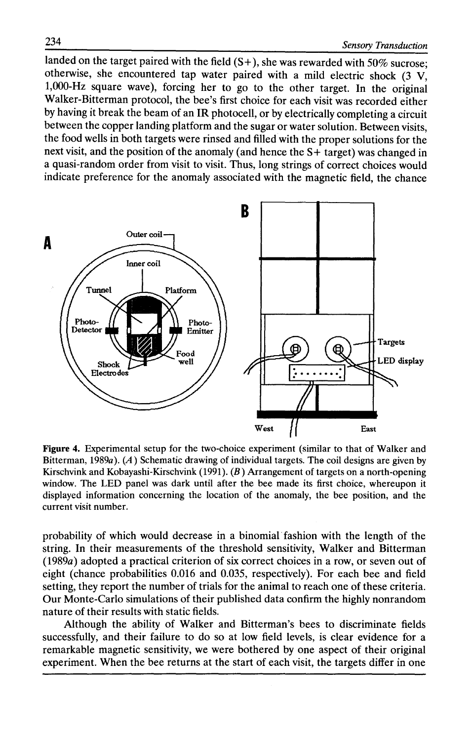landed on the target paired with the field  $(S+)$ , she was rewarded with 50% sucrose: otherwise, she encountered tap water paired with a mild electric shock (3 V, 1,000-Hz square wave), forcing her to go to the other target. In the original Walker-Bitterman protocol, the bee's first choice for each visit was recorded either by having it break the beam of an IR photocell, or by electrically completing a circuit between the copper landing platform and the sugar or water solution. Between visits, the food wells in both targets were rinsed and filled with the proper solutions for the next visit, and the position of the anomaly (and hence the S+ target) was changed in a quasi-random order from visit to visit. Thus, long strings of correct choices would indicate preference for the anomaly associated with the magnetic field, the chance



Figure 4. Experimental setup for the two-choice experiment (similar to that of Walker and Bitterman, 1989a).  $(A)$  Schematic drawing of individual targets. The coil designs are given by Kirschvink and Kobayashi-Kirschvink (1991). (B) Arrangement of targets on a north-opening window. The LED panel was dark until after the bee made its first choice, whereupon it displayed information concerning the location of the anomaly, the bee position, and the current visit number.

probability of which would decrease in a binomial· fashion with the length of the string. In their measurements of the threshold sensitivity, Walker and Bitterman (1989a) adopted a practical criterion of six correct choices in a row, or seven out of eight (chance probabilities 0.016 and 0.035, respectively). For each bee and field setting, they report the number of trials for the animal to reach one of these criteria. Our Monte-Carlo simulations of their published data confirm the highly nonrandom nature of their results with static fields.

Although the ability of Walker and Bitterman's bees to discriminate fields successfully, and their failure to do so at low field levels, is clear evidence for a remarkable magnetic sensitivity, we were bothered by one aspect of their original experiment. When the bee returns at the start of each visit, the targets differ in one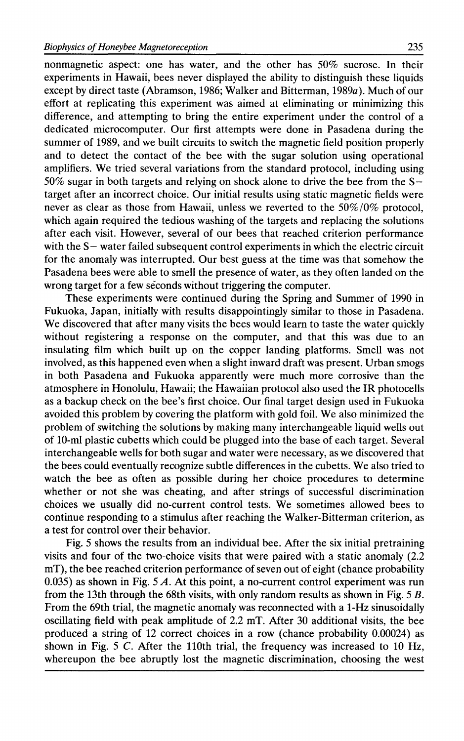nonmagnetic aspect: one has water, and the other has 50% sucrose. In their experiments in Hawaii, bees never displayed the ability to distinguish these liquids except by direct taste (Abramson, 1986; Walker and Bitterman, 1989a ). Much of our effort at replicating this experiment was aimed at eliminating or minimizing this difference, and attempting to bring the entire experiment under the control of a dedicated microcomputer. Our first attempts were done in Pasadena during the summer of 1989, and we built circuits to switch the magnetic field position properly and to detect the contact of the bee with the sugar solution using operational amplifiers. We tried several variations from the standard protocol, including using 50% sugar in both targets and relying on shock alone to drive the bee from the Starget after an incorrect choice. Our initial results using static magnetic fields were never as clear as those from Hawaii, unless we reverted to the 50%/0% protocol, which again required the tedious washing of the targets and replacing the solutions after each visit. However, several of our bees that reached criterion performance with the S- water failed subsequent control experiments in which the electric circuit for the anomaly was interrupted. Our best guess at the time was that somehow the Pasadena bees were able to smell the presence of water, as they often landed on the wrong target for a few seconds without triggering the computer.

These experiments were continued during the Spring and Summer of 1990 in Fukuoka, Japan, initially with results disappointingly similar to those in Pasadena. We discovered that after many visits the bees would learn to taste the water quickly without registering a response on the computer, and that this was due to an insulating film which built up on the copper landing platforms. Smell was not involved, as this happened even when a slight inward draft was present. Urban smogs in both Pasadena and Fukuoka apparently were much more corrosive than the atmosphere in Honolulu, Hawaii; the Hawaiian protocol also used the IR photocells as a backup check on the bee's first choice. Our final target design used in Fukuoka avoided this problem by covering the platform with gold foil. We also minimized the problem of switching the solutions by making many interchangeable liquid wells out of 10-ml plastic cubetts which could be plugged into the base of each target. Several interchangeable wells for both sugar and water were necessary, as we discovered that the bees could eventually recognize subtle differences in the cubetts. We also tried to watch the bee as often as possible during her choice procedures to determine whether or not she was cheating, and after strings of successful discrimination choices we usually did no-current control tests. We sometimes allowed bees to continue responding to a stimulus after reaching the Walker-Bitterman criterion, as a test for control over their behavior.

Fig. 5 shows the results from an individual bee. After the six initial pretraining visits and four of the two-choice visits that were paired with a static anomaly (2.2 mT), the bee reached criterion performance of seven out of eight (chance probability 0.035) as shown in Fig. 5 A. At this point, a no-current control experiment was run from the 13th through the 68th visits, with only random results as shown in Fig. 5 B. From the 69th trial, the magnetic anomaly was reconnected with a 1-Hz sinusoidally oscillating field with peak amplitude of 2.2 mT. After 30 additional visits, the bee produced a string of 12 correct choices in a row (chance probability 0.00024) as shown in Fig. 5 *C*. After the 110th trial, the frequency was increased to 10 Hz, whereupon the bee abruptly lost the magnetic discrimination, choosing the west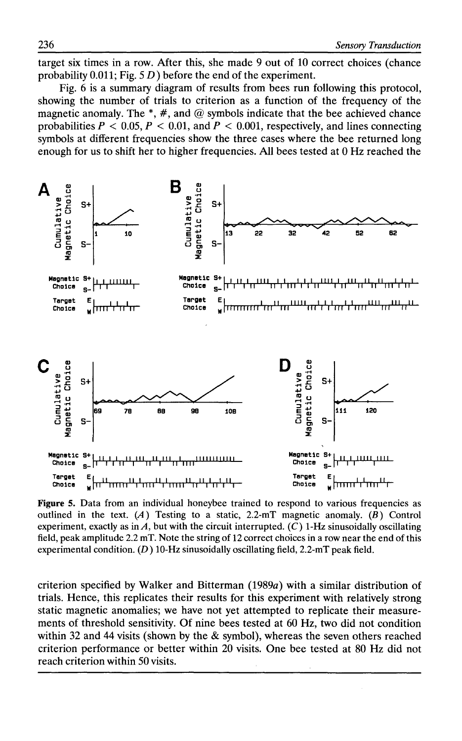target six times in a row. After this, she made 9 out of 10 correct choices (chance probability 0.011; Fig. 5 *D)* before the end of the experiment.

Fig. 6 is a summary diagram of results from bees run following this protocol, showing the number of trials to criterion as a function of the frequency of the magnetic anomaly. The  $*, #$ , and @ symbols indicate that the bee achieved chance probabilities  $P < 0.05$ ,  $P < 0.01$ , and  $P < 0.001$ , respectively, and lines connecting symbols at different frequencies show the three cases where the bee returned long enough for us to shift her to higher frequencies. All bees tested at 0 Hz reached the



Figure 5. Data from an individual honeybee trained to respond to various frequencies as outlined in the text. (A) Testing to a static, 2.2-mT magnetic anomaly. (B) Control experiment, exactly as in  $A$ , but with the circuit interrupted.  $(C)$  1-Hz sinusoidally oscillating field, peak amplitude 2.2 mT. Note the string of 12 correct choices in a row near the end of this experimental condition.  $(D)$  10-Hz sinusoidally oscillating field, 2.2-mT peak field.

criterion specified by Walker and Bitterman  $(1989a)$  with a similar distribution of trials. Hence, this replicates their results for this experiment with relatively strong static magnetic anomalies; we have not yet attempted to replicate their measurements of threshold sensitivity. Of nine bees tested at 60 Hz, two did not condition within 32 and 44 visits (shown by the  $\&$  symbol), whereas the seven others reached criterion performance or better within 20 visits. One bee tested at 80 Hz did not reach criterion within 50 visits.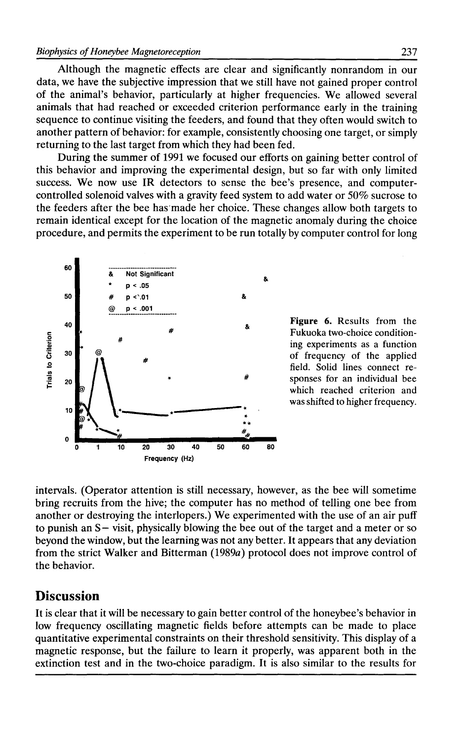Although the magnetic effects are clear and significantly nonrandom in our data, we have the subjective impression that we still have not gained proper control of the animal's behavior, particularly at higher frequencies. We allowed several animals that had reached or exceeded criterion performance early in the training sequence to continue visiting the feeders, and found that they often would switch to another pattern of behavior: for example, consistently choosing one target, or simply returning to the last target from which they had been fed.

During the summer of 1991 we focused our efforts on gaining better control of this behavior and improving the experimental design, but so far with only limited success. We now use IR detectors to sense the bee's presence, and computercontrolled solenoid valves with a gravity feed system to add water or 50% sucrose to the feeders after the bee has·made her choice. These changes allow both targets to remain identical except for the location of the magnetic anomaly during the choice procedure, and permits the experiment to be run totally by computer control for long



which reached criterion and was shifted to higher frequency.

intervals. (Operator attention is still necessary, however, as the bee will sometime bring recruits from the hive; the computer has no method of telling one bee from another or destroying the interlopers.) We experimented with the use of an air puff to punish an S- visit, physically blowing the bee out of the target and a meter or so beyond the window, but the learning was not any better. It appears that any deviation from the strict Walker and Bitterman (1989a) protocol does not improve control of the behavior.

### **Discussion**

It is clear that it will be necessary to gain better control of the honeybee's behavior in low frequency oscillating magnetic fields before attempts can be made to place quantitative experimental constraints on their threshold sensitivity. This display of a magnetic response, but the failure to learn it properly, was apparent both in the extinction test and in the two-choice paradigm. It is also similar to the results for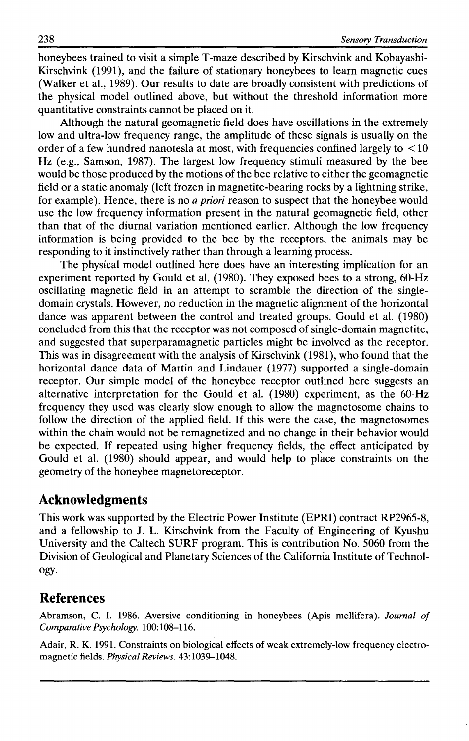honeybees trained to visit a simple T-maze described by Kirschvink and Kobayashi-Kirschvink (1991), and the failure of stationary honeybees to learn magnetic cues (Walker et al., 1989). Our results to date are broadly consistent with predictions of the physical model outlined above, but without the threshold information more quantitative constraints cannot be placed on it.

Although the natural geomagnetic field does have oscillations in the extremely low and ultra-low frequency range, the amplitude of these signals is usually on the order of a few hundred nanotesla at most, with frequencies confined largely to  $\leq 10$ Hz (e.g., Samson, 1987). The largest low frequency stimuli measured by the bee would be those produced by the motions of the bee relative to either the geomagnetic field or a static anomaly (left frozen in magnetite-bearing rocks by a lightning strike, for example). Hence, there is no *a priori* reason to suspect that the honeybee would use the low frequency information present in the natural geomagnetic field, other than that of the diurnal variation mentioned earlier. Although the low frequency information is being provided to the bee by the receptors, the animals may be responding to it instinctively rather than through a learning process.

The physical model outlined here does have an interesting implication for an experiment reported by Gould et al. (1980). They exposed bees to a strong, 60-Hz oscillating magnetic field in an attempt to scramble the direction of the singledomain crystals. However, no reduction in the magnetic alignment of the horizontal dance was apparent between the control and treated groups. Gould et al. (1980) concluded from this that the receptor was not composed of single-domain magnetite, and suggested that superparamagnetic particles might be involved as the receptor. This was in disagreement with the analysis of Kirschvink (1981), who found that the horizontal dance data of Martin and Lindauer (1977) supported a single-domain receptor. Our simple model of the honeybee receptor outlined here suggests an alternative interpretation for the Gould et al. (1980) experiment, as the 60-Hz frequency they used was clearly slow enough to allow the magnetosome chains to follow the direction of the applied field. If this were the case, the magnetosomes within the chain would not be remagnetized and no change in their behavior would be expected. If repeated using higher frequency fields, the effect anticipated by Gould et al. (1980) should appear, and would help to place constraints on the geometry of the honeybee magnetoreceptor.

### **Acknowledgments**

This work was supported by the Electric Power Institute (EPRI) contract RP2965-8, and a fellowship to J. L. Kirschvink from the Faculty of Engineering of Kyushu University and the Caltech SURF program. This is contribution No. 5060 from the Division of Geological and Planetary Sciences of the California Institute of Technology.

## **References**

Abramson, C. I. 1986. Aversive conditioning in honeybees (Apis mellifera). *Journal of Comparative Psychology.* 100:108-116.

Adair, R. K. 1991. Constraints on biological effects of weak extremely-low frequency electromagnetic fields. *Physical Reviews.* 43: 1039-1048.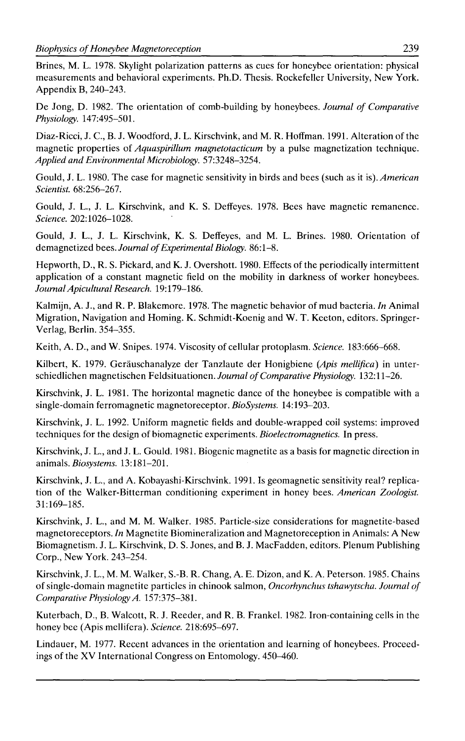Brines, M. L. 1978. Skylight polarization patterns as cues for honeybee orientation: physical measurements and behavioral experiments. Ph.D. Thesis. Rockefeller University, New York. Appendix B, 240-243.

De Jong, D. 1982. The orientation of comb-building by honeybees. *Journal of Comparative Physiology.* 147:495-501.

Diaz-Ricci, J. C., B. J. Woodford, J. L. Kirschvink, and M. R. Hoffman. 1991. Alteration of the magnetic properties of *Aquaspirillum magnetotacticum* by a pulse magnetization technique. *Applied and Environmental Microbiology.* 57:3248-3254.

Gould, J. L. 1980. The case for magnetic sensitivity in birds and bees (such as it *is).American Scientist.* 68:256-267.

Gould, J. L., J. L. Kirschvink, and K. S. Deffeyes. 1978. Bees have magnetic remanence. *Science.* 202:1026-1028.

Gould, J. L., J. L. Kirschvink, K. S. Deffeyes, and M. L. Brines. 1980. Orientation of demagnetized bees. *Journal of Experimental Biology.* 86:1-8.

Hepworth, D., R. S. Pickard, and K. J. Overshott. 1980. Effects of the periodically intermittent application of a constant magnetic field on the mobility in darkness of worker honeybees. *Journal Apicultural Research.* 19:179-186.

Kalmijn, A. J., and R. P. Blakemore. 1978. The magnetic behavior of mud bacteria. *In* Animal Migration, Navigation and Homing. K. Schmidt-Koenig and W. T. Keeton, editors. Springer-Verlag, Berlin. 354-355.

Keith, A. D., and W. Snipes. 1974. Viscosity of cellular protoplasm. *Science.* 183:666-668.

Kilbert, K. 1979. Gerauschanalyze der Tanzlaute der Honigbiene *(Apis mel/ifica)* in unterschiedlichen magnetischen Feldsituationen. *Journal of Comparative Physiology.* 132:11-26.

Kirschvink, J. L. 1981. The horizontal magnetic dance of the honeybee is compatible with a single-domain ferromagnetic magnetoreceptor. *BioSystems.* 14:193-203.

Kirschvink, J. L. 1992. Uniform magnetic fields and double-wrapped coil systems: improved techniques for the design of biomagnetic experiments. *Bioelectromagnetics.* In press.

Kirschvink, J. L., and J. L. Gould. 1981. Biogenic magnetite as a basis for magnetic direction in animals. *Biosystems.* 13:181-201.

Kirschvink, J. L., and A. Kobayashi-Kirschvink. 1991. Is geomagnetic sensitivity real? replication of the Walker-Bitterman conditioning experiment in honey bees. *American Zoologist.*  31:169-185.

Kirschvink, J. L., and M. M. Walker. 1985. Particle-size considerations for magnetite-based magnetoreceptors. *In* Magnetite Biomineralization and Magnetoreception in Animals: A New Biomagnetism. J. L. Kirschvink, D. S. Jones, and B. J. MacFadden, editors. Plenum Publishing Corp., New York. 243-254.

Kirschvink, J. L., M. M. Walker, S.-B. R. Chang, A. E. Dizon, and K. A. Peterson. 1985. Chains of single-domain magnetite particles in chinook salmon, *Oncorhynchus tshawytscha. Journal of Comparative Physiology A.* 157:375-381.

Kuterbach, D., B. Walcott, R. J. Reeder, and R. B. Frankel. 1982. Iron-containing cells in the honey bee (Apis mellifera). *Science.* 218:695-697.

Lindauer, M. 1977. Recent advances in the orientation and learning of honeybees. Proceedings of the XV International Congress on Entomology. 450-460.